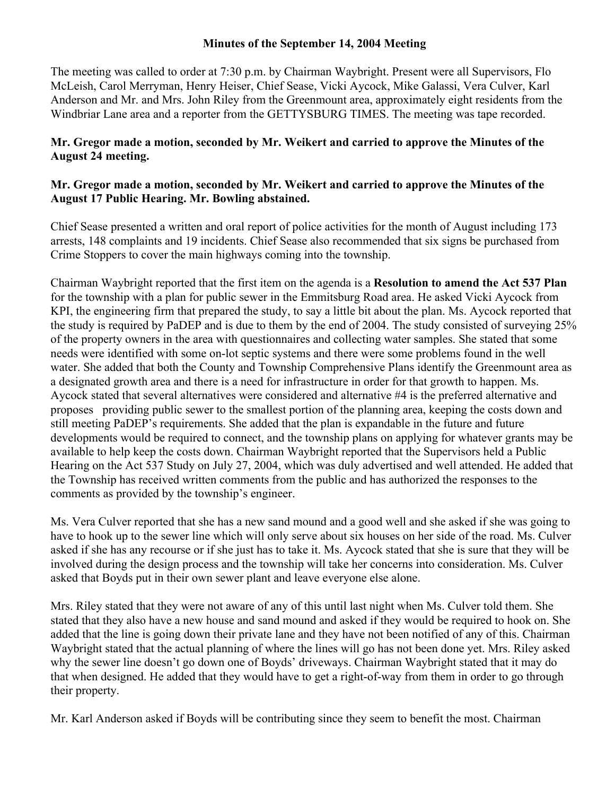#### **Minutes of the September 14, 2004 Meeting**

The meeting was called to order at 7:30 p.m. by Chairman Waybright. Present were all Supervisors, Flo McLeish, Carol Merryman, Henry Heiser, Chief Sease, Vicki Aycock, Mike Galassi, Vera Culver, Karl Anderson and Mr. and Mrs. John Riley from the Greenmount area, approximately eight residents from the Windbriar Lane area and a reporter from the GETTYSBURG TIMES. The meeting was tape recorded.

# **Mr. Gregor made a motion, seconded by Mr. Weikert and carried to approve the Minutes of the August 24 meeting.**

# **Mr. Gregor made a motion, seconded by Mr. Weikert and carried to approve the Minutes of the August 17 Public Hearing. Mr. Bowling abstained.**

Chief Sease presented a written and oral report of police activities for the month of August including 173 arrests, 148 complaints and 19 incidents. Chief Sease also recommended that six signs be purchased from Crime Stoppers to cover the main highways coming into the township.

Chairman Waybright reported that the first item on the agenda is a **Resolution to amend the Act 537 Plan** for the township with a plan for public sewer in the Emmitsburg Road area. He asked Vicki Aycock from KPI, the engineering firm that prepared the study, to say a little bit about the plan. Ms. Aycock reported that the study is required by PaDEP and is due to them by the end of 2004. The study consisted of surveying 25% of the property owners in the area with questionnaires and collecting water samples. She stated that some needs were identified with some on-lot septic systems and there were some problems found in the well water. She added that both the County and Township Comprehensive Plans identify the Greenmount area as a designated growth area and there is a need for infrastructure in order for that growth to happen. Ms. Aycock stated that several alternatives were considered and alternative #4 is the preferred alternative and proposes providing public sewer to the smallest portion of the planning area, keeping the costs down and still meeting PaDEP's requirements. She added that the plan is expandable in the future and future developments would be required to connect, and the township plans on applying for whatever grants may be available to help keep the costs down. Chairman Waybright reported that the Supervisors held a Public Hearing on the Act 537 Study on July 27, 2004, which was duly advertised and well attended. He added that the Township has received written comments from the public and has authorized the responses to the comments as provided by the township's engineer.

Ms. Vera Culver reported that she has a new sand mound and a good well and she asked if she was going to have to hook up to the sewer line which will only serve about six houses on her side of the road. Ms. Culver asked if she has any recourse or if she just has to take it. Ms. Aycock stated that she is sure that they will be involved during the design process and the township will take her concerns into consideration. Ms. Culver asked that Boyds put in their own sewer plant and leave everyone else alone.

Mrs. Riley stated that they were not aware of any of this until last night when Ms. Culver told them. She stated that they also have a new house and sand mound and asked if they would be required to hook on. She added that the line is going down their private lane and they have not been notified of any of this. Chairman Waybright stated that the actual planning of where the lines will go has not been done yet. Mrs. Riley asked why the sewer line doesn't go down one of Boyds' driveways. Chairman Waybright stated that it may do that when designed. He added that they would have to get a right-of-way from them in order to go through their property.

Mr. Karl Anderson asked if Boyds will be contributing since they seem to benefit the most. Chairman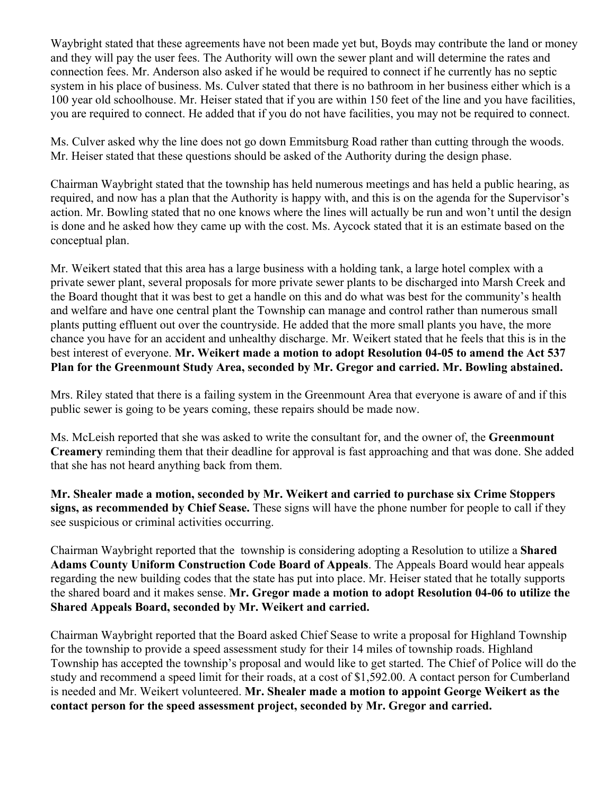Waybright stated that these agreements have not been made yet but, Boyds may contribute the land or money and they will pay the user fees. The Authority will own the sewer plant and will determine the rates and connection fees. Mr. Anderson also asked if he would be required to connect if he currently has no septic system in his place of business. Ms. Culver stated that there is no bathroom in her business either which is a 100 year old schoolhouse. Mr. Heiser stated that if you are within 150 feet of the line and you have facilities, you are required to connect. He added that if you do not have facilities, you may not be required to connect.

Ms. Culver asked why the line does not go down Emmitsburg Road rather than cutting through the woods. Mr. Heiser stated that these questions should be asked of the Authority during the design phase.

Chairman Waybright stated that the township has held numerous meetings and has held a public hearing, as required, and now has a plan that the Authority is happy with, and this is on the agenda for the Supervisor's action. Mr. Bowling stated that no one knows where the lines will actually be run and won't until the design is done and he asked how they came up with the cost. Ms. Aycock stated that it is an estimate based on the conceptual plan.

Mr. Weikert stated that this area has a large business with a holding tank, a large hotel complex with a private sewer plant, several proposals for more private sewer plants to be discharged into Marsh Creek and the Board thought that it was best to get a handle on this and do what was best for the community's health and welfare and have one central plant the Township can manage and control rather than numerous small plants putting effluent out over the countryside. He added that the more small plants you have, the more chance you have for an accident and unhealthy discharge. Mr. Weikert stated that he feels that this is in the best interest of everyone. **Mr. Weikert made a motion to adopt Resolution 04-05 to amend the Act 537 Plan for the Greenmount Study Area, seconded by Mr. Gregor and carried. Mr. Bowling abstained.** 

Mrs. Riley stated that there is a failing system in the Greenmount Area that everyone is aware of and if this public sewer is going to be years coming, these repairs should be made now.

Ms. McLeish reported that she was asked to write the consultant for, and the owner of, the **Greenmount Creamery** reminding them that their deadline for approval is fast approaching and that was done. She added that she has not heard anything back from them.

**Mr. Shealer made a motion, seconded by Mr. Weikert and carried to purchase six Crime Stoppers signs, as recommended by Chief Sease.** These signs will have the phone number for people to call if they see suspicious or criminal activities occurring.

Chairman Waybright reported that the township is considering adopting a Resolution to utilize a **Shared Adams County Uniform Construction Code Board of Appeals**. The Appeals Board would hear appeals regarding the new building codes that the state has put into place. Mr. Heiser stated that he totally supports the shared board and it makes sense. **Mr. Gregor made a motion to adopt Resolution 04-06 to utilize the Shared Appeals Board, seconded by Mr. Weikert and carried.** 

Chairman Waybright reported that the Board asked Chief Sease to write a proposal for Highland Township for the township to provide a speed assessment study for their 14 miles of township roads. Highland Township has accepted the township's proposal and would like to get started. The Chief of Police will do the study and recommend a speed limit for their roads, at a cost of \$1,592.00. A contact person for Cumberland is needed and Mr. Weikert volunteered. **Mr. Shealer made a motion to appoint George Weikert as the contact person for the speed assessment project, seconded by Mr. Gregor and carried.**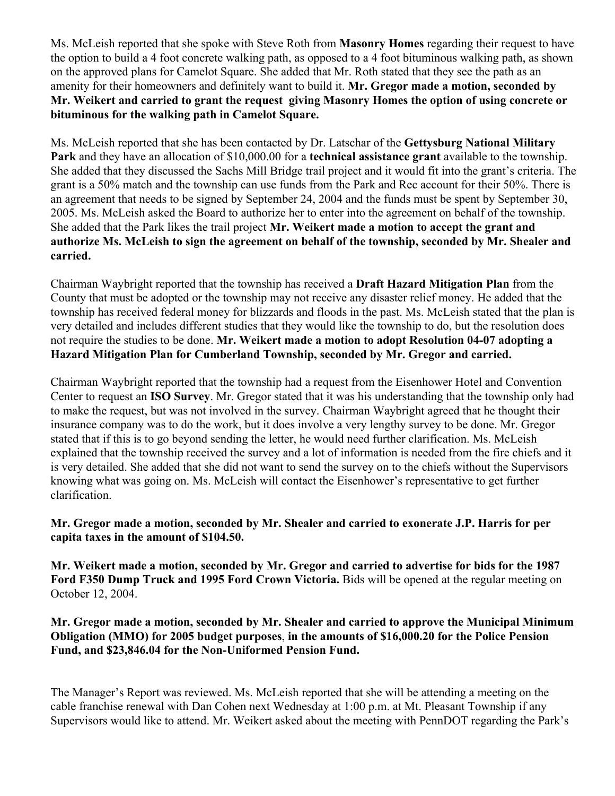Ms. McLeish reported that she spoke with Steve Roth from **Masonry Homes** regarding their request to have the option to build a 4 foot concrete walking path, as opposed to a 4 foot bituminous walking path, as shown on the approved plans for Camelot Square. She added that Mr. Roth stated that they see the path as an amenity for their homeowners and definitely want to build it. **Mr. Gregor made a motion, seconded by Mr. Weikert and carried to grant the request giving Masonry Homes the option of using concrete or bituminous for the walking path in Camelot Square.** 

Ms. McLeish reported that she has been contacted by Dr. Latschar of the **Gettysburg National Military Park** and they have an allocation of \$10,000.00 for a **technical assistance grant** available to the township. She added that they discussed the Sachs Mill Bridge trail project and it would fit into the grant's criteria. The grant is a 50% match and the township can use funds from the Park and Rec account for their 50%. There is an agreement that needs to be signed by September 24, 2004 and the funds must be spent by September 30, 2005. Ms. McLeish asked the Board to authorize her to enter into the agreement on behalf of the township. She added that the Park likes the trail project **Mr. Weikert made a motion to accept the grant and authorize Ms. McLeish to sign the agreement on behalf of the township, seconded by Mr. Shealer and carried.** 

Chairman Waybright reported that the township has received a **Draft Hazard Mitigation Plan** from the County that must be adopted or the township may not receive any disaster relief money. He added that the township has received federal money for blizzards and floods in the past. Ms. McLeish stated that the plan is very detailed and includes different studies that they would like the township to do, but the resolution does not require the studies to be done. **Mr. Weikert made a motion to adopt Resolution 04-07 adopting a Hazard Mitigation Plan for Cumberland Township, seconded by Mr. Gregor and carried.**

Chairman Waybright reported that the township had a request from the Eisenhower Hotel and Convention Center to request an **ISO Survey**. Mr. Gregor stated that it was his understanding that the township only had to make the request, but was not involved in the survey. Chairman Waybright agreed that he thought their insurance company was to do the work, but it does involve a very lengthy survey to be done. Mr. Gregor stated that if this is to go beyond sending the letter, he would need further clarification. Ms. McLeish explained that the township received the survey and a lot of information is needed from the fire chiefs and it is very detailed. She added that she did not want to send the survey on to the chiefs without the Supervisors knowing what was going on. Ms. McLeish will contact the Eisenhower's representative to get further clarification.

#### **Mr. Gregor made a motion, seconded by Mr. Shealer and carried to exonerate J.P. Harris for per capita taxes in the amount of \$104.50.**

**Mr. Weikert made a motion, seconded by Mr. Gregor and carried to advertise for bids for the 1987 Ford F350 Dump Truck and 1995 Ford Crown Victoria.** Bids will be opened at the regular meeting on October 12, 2004.

# **Mr. Gregor made a motion, seconded by Mr. Shealer and carried to approve the Municipal Minimum Obligation (MMO) for 2005 budget purposes**, **in the amounts of \$16,000.20 for the Police Pension Fund, and \$23,846.04 for the Non-Uniformed Pension Fund.**

The Manager's Report was reviewed. Ms. McLeish reported that she will be attending a meeting on the cable franchise renewal with Dan Cohen next Wednesday at 1:00 p.m. at Mt. Pleasant Township if any Supervisors would like to attend. Mr. Weikert asked about the meeting with PennDOT regarding the Park's